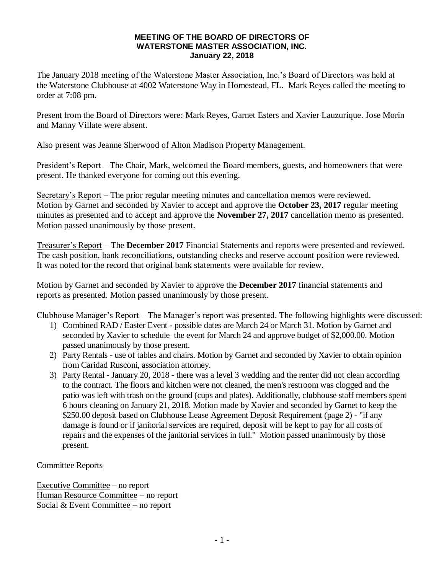## **MEETING OF THE BOARD OF DIRECTORS OF WATERSTONE MASTER ASSOCIATION, INC. January 22, 2018**

The January 2018 meeting of the Waterstone Master Association, Inc.'s Board of Directors was held at the Waterstone Clubhouse at 4002 Waterstone Way in Homestead, FL. Mark Reyes called the meeting to order at 7:08 pm.

Present from the Board of Directors were: Mark Reyes, Garnet Esters and Xavier Lauzurique. Jose Morin and Manny Villate were absent.

Also present was Jeanne Sherwood of Alton Madison Property Management.

President's Report – The Chair, Mark, welcomed the Board members, guests, and homeowners that were present. He thanked everyone for coming out this evening.

Secretary's Report – The prior regular meeting minutes and cancellation memos were reviewed. Motion by Garnet and seconded by Xavier to accept and approve the **October 23, 2017** regular meeting minutes as presented and to accept and approve the **November 27, 2017** cancellation memo as presented. Motion passed unanimously by those present.

Treasurer's Report – The **December 2017** Financial Statements and reports were presented and reviewed. The cash position, bank reconciliations, outstanding checks and reserve account position were reviewed. It was noted for the record that original bank statements were available for review.

Motion by Garnet and seconded by Xavier to approve the **December 2017** financial statements and reports as presented. Motion passed unanimously by those present.

Clubhouse Manager's Report – The Manager's report was presented. The following highlights were discussed:

- 1) Combined RAD / Easter Event possible dates are March 24 or March 31. Motion by Garnet and seconded by Xavier to schedule the event for March 24 and approve budget of \$2,000.00. Motion passed unanimously by those present.
- 2) Party Rentals use of tables and chairs. Motion by Garnet and seconded by Xavier to obtain opinion from Caridad Rusconi, association attorney.
- 3) Party Rental January 20, 2018 there was a level 3 wedding and the renter did not clean according to the contract. The floors and kitchen were not cleaned, the men's restroom was clogged and the patio was left with trash on the ground (cups and plates). Additionally, clubhouse staff members spent 6 hours cleaning on January 21, 2018. Motion made by Xavier and seconded by Garnet to keep the \$250.00 deposit based on Clubhouse Lease Agreement Deposit Requirement (page 2) - "if any damage is found or if janitorial services are required, deposit will be kept to pay for all costs of repairs and the expenses of the janitorial services in full." Motion passed unanimously by those present.

## Committee Reports

Executive Committee – no report Human Resource Committee – no report Social  $&$  Event Committee – no report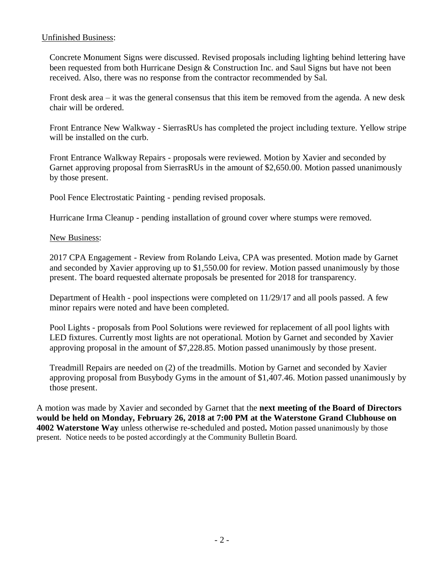## Unfinished Business:

Concrete Monument Signs were discussed. Revised proposals including lighting behind lettering have been requested from both Hurricane Design & Construction Inc. and Saul Signs but have not been received. Also, there was no response from the contractor recommended by Sal.

Front desk area – it was the general consensus that this item be removed from the agenda. A new desk chair will be ordered.

Front Entrance New Walkway - SierrasRUs has completed the project including texture. Yellow stripe will be installed on the curb.

Front Entrance Walkway Repairs - proposals were reviewed. Motion by Xavier and seconded by Garnet approving proposal from SierrasRUs in the amount of \$2,650.00. Motion passed unanimously by those present.

Pool Fence Electrostatic Painting - pending revised proposals.

Hurricane Irma Cleanup - pending installation of ground cover where stumps were removed.

New Business:

2017 CPA Engagement - Review from Rolando Leiva, CPA was presented. Motion made by Garnet and seconded by Xavier approving up to \$1,550.00 for review. Motion passed unanimously by those present. The board requested alternate proposals be presented for 2018 for transparency.

Department of Health - pool inspections were completed on 11/29/17 and all pools passed. A few minor repairs were noted and have been completed.

Pool Lights - proposals from Pool Solutions were reviewed for replacement of all pool lights with LED fixtures. Currently most lights are not operational. Motion by Garnet and seconded by Xavier approving proposal in the amount of \$7,228.85. Motion passed unanimously by those present.

Treadmill Repairs are needed on (2) of the treadmills. Motion by Garnet and seconded by Xavier approving proposal from Busybody Gyms in the amount of \$1,407.46. Motion passed unanimously by those present.

A motion was made by Xavier and seconded by Garnet that the **next meeting of the Board of Directors would be held on Monday, February 26, 2018 at 7:00 PM at the Waterstone Grand Clubhouse on 4002 Waterstone Way** unless otherwise re-scheduled and posted**.** Motion passed unanimously by those present. Notice needs to be posted accordingly at the Community Bulletin Board.